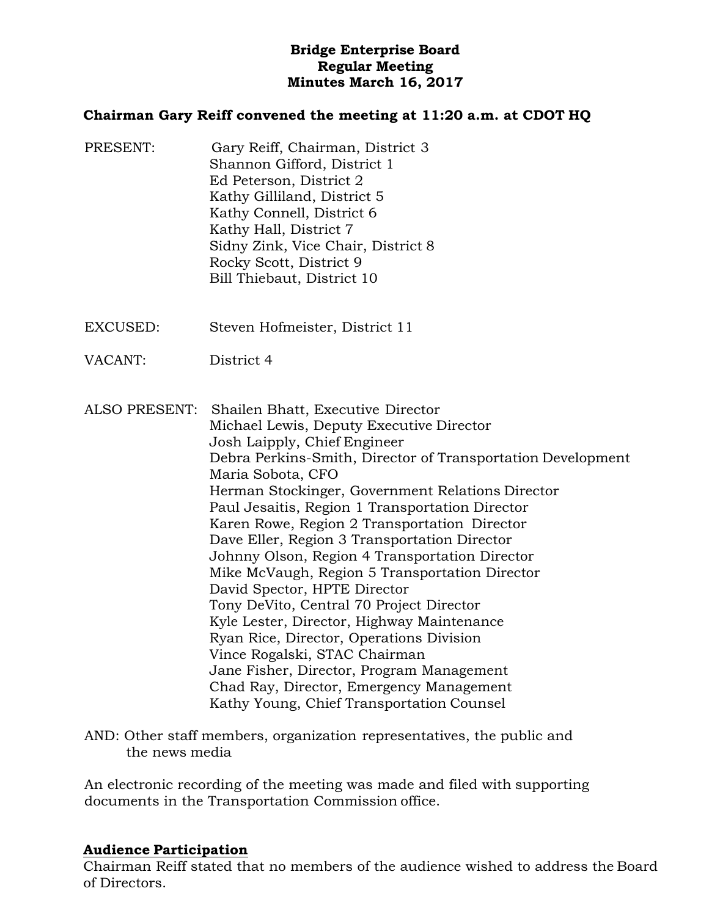# **Bridge Enterprise Board Regular Meeting Minutes March 16, 2017**

### **Chairman Gary Reiff convened the meeting at 11:20 a.m. at CDOT HQ**

- PRESENT: Gary Reiff, Chairman, District 3 Shannon Gifford, District 1 Ed Peterson, District 2 Kathy Gilliland, District 5 Kathy Connell, District 6 Kathy Hall, District 7 Sidny Zink, Vice Chair, District 8 Rocky Scott, District 9 Bill Thiebaut, District 10
- EXCUSED: Steven Hofmeister, District 11
- VACANT: District 4

ALSO PRESENT: Shailen Bhatt, Executive Director Michael Lewis, Deputy Executive Director Josh Laipply, Chief Engineer Debra Perkins-Smith, Director of Transportation Development Maria Sobota, CFO Herman Stockinger, Government Relations Director Paul Jesaitis, Region 1 Transportation Director Karen Rowe, Region 2 Transportation Director Dave Eller, Region 3 Transportation Director Johnny Olson, Region 4 Transportation Director Mike McVaugh, Region 5 Transportation Director David Spector, HPTE Director Tony DeVito, Central 70 Project Director Kyle Lester, Director, Highway Maintenance Ryan Rice, Director, Operations Division Vince Rogalski, STAC Chairman Jane Fisher, Director, Program Management Chad Ray, Director, Emergency Management Kathy Young, Chief Transportation Counsel

AND: Other staff members, organization representatives, the public and the news media

An electronic recording of the meeting was made and filed with supporting documents in the Transportation Commission office.

#### **Audience Participation**

Chairman Reiff stated that no members of the audience wished to address the Board of Directors.